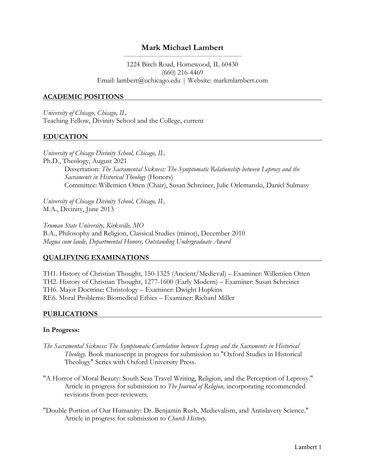# **Mark Michael Lambert**

### 1224 Birch Road, Homewood, IL 60430 (660) 216-4469 Email: lambert@uchicago.edu | Website: markmlambert.com

### **ACADEMIC POSITIONS**

*University of Chicago, Chicago, IL* Teaching Fellow, Divinity School and the College, current

#### **EDUCATION**

*University of Chicago Divinity School, Chicago, IL* Ph.D., Theology, August 2021 Dissertation: *The Sacramental Sickness: The Symptomatic Relationship between Leprosy and the Sacraments in Historical Theology* (Honors) Committee: Willemien Otten (Chair), Susan Schreiner, Julie Orlemanski, Daniel Sulmasy

*University of Chicago Divinity School, Chicago, IL* M.A., Divinity, June 2013

*Truman State University, Kirksville, MO* B.A., Philosophy and Religion, Classical Studies (minor), December 2010 *Magna cum laude, Departmental Honors, Outstanding Undergraduate Award*

#### **QUALIFYING EXAMINATIONS**

TH1. History of Christian Thought, 150-1325 (Ancient/Medieval) – Examiner: Willemien Otten TH2. History of Christian Thought, 1277-1600 (Early Modern) – Examiner: Susan Schreiner TH6. Major Doctrine: Christology – Examiner: Dwight Hopkins RE6. Moral Problems: Biomedical Ethics – Examiner: Richard Miller

#### **PUBLICATIONS**

#### **In Progress:**

- *The Sacramental Sickness: The Symptomatic Correlation between Leprosy and the Sacraments in Historical Theology.* Book manuscript in progress for submission to "Oxford Studies in Historical Theology" Series with Oxford University Press.
- "A Horror of Moral Beauty: South Seas Travel Writing, Religion, and the Perception of Leprosy." Article in progress for submission to *The Journal of Religion,* incorporating recommended revisions from peer-reviewers.
- "Double Portion of Our Humanity: Dr. Benjamin Rush, Medievalism, and Antislavery Science." Article in progress for submission to *Church History.*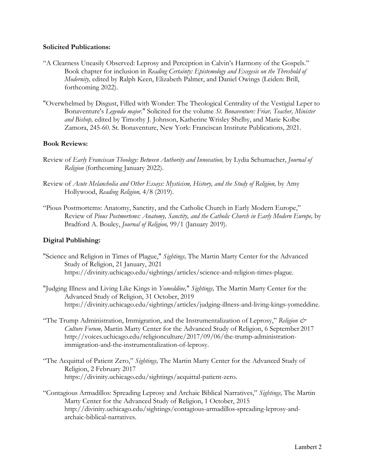### **Solicited Publications:**

- "A Clearness Uneasily Observed: Leprosy and Perception in Calvin's Harmony of the Gospels." Book chapter for inclusion in *Reading Certainty: Epistemology and Exegesis on the Threshold of Modernity,* edited by Ralph Keen, Elizabeth Palmer, and Daniel Owings (Leiden: Brill, forthcoming 2022).
- "Overwhelmed by Disgust, Filled with Wonder: The Theological Centrality of the Vestigial Leper to Bonaventure's *Legenda major*." Solicited for the volume *St. Bonaventure: Friar, Teacher, Minister and Bishop,* edited by Timothy J. Johnson, Katherine Wrisley Shelby, and Marie Kolbe Zamora, 245-60. St. Bonaventure, New York: Franciscan Institute Publications, 2021.

### **Book Reviews:**

- Review of *Early Franciscan Theology: Between Authority and Innovation,* by Lydia Schumacher, *Journal of Religion* (forthcoming January 2022).
- Review of *Acute Melancholia and Other Essays: Mysticism, History, and the Study of Religion,* by Amy Hollywood, *Reading Religion,* 4/8 (2019).
- "Pious Postmortems: Anatomy, Sanctity, and the Catholic Church in Early Modern Europe," Review of *Pious Postmortems: Anatomy, Sanctity, and the Catholic Church in Early Modern Europe,* by Bradford A. Bouley, *Journal of Religion,* 99/1 (January 2019).

### **Digital Publishing:**

- "Science and Religion in Times of Plague," *Sightings,* The Martin Marty Center for the Advanced Study of Religion, 21 January, 2021 https://divinity.uchicago.edu/sightings/articles/science-and-religion-times-plague.
- "Judging Illness and Living Like Kings in *Yomeddine,*" *Sightings,* The Martin Marty Center for the Advanced Study of Religion, 31 October, 2019 https://divinity.uchicago.edu/sightings/articles/judging-illness-and-living-kings-yomeddine.
- "The Trump Administration, Immigration, and the Instrumentalization of Leprosy," *Religion & Culture Forum,* Martin Marty Center for the Advanced Study of Religion, 6 September 2017 http://voices.uchicago.edu/religionculture/2017/09/06/the-trump-administrationimmigration-and-the-instrumentalization-of-leprosy.
- "The Acquittal of Patient Zero," *Sightings,* The Martin Marty Center for the Advanced Study of Religion, 2 February 2017 https://divinity.uchicago.edu/sightings/acquittal-patient-zero.
- "Contagious Armadillos: Spreading Leprosy and Archaic Biblical Narratives," *Sightings,* The Martin Marty Center for the Advanced Study of Religion, 1 October, 2015 http://divinity.uchicago.edu/sightings/contagious-armadillos-spreading-leprosy-andarchaic-biblical-narratives.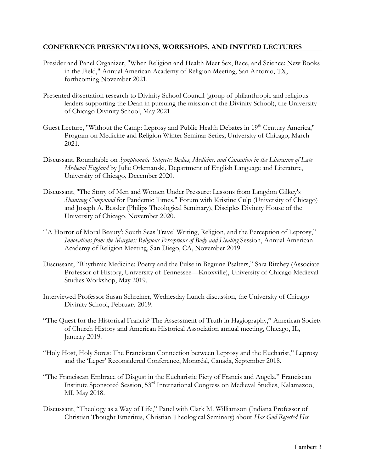### **CONFERENCE PRESENTATIONS, WORKSHOPS, AND INVITED LECTURES**

- Presider and Panel Organizer, "When Religion and Health Meet Sex, Race, and Science: New Books in the Field," Annual American Academy of Religion Meeting, San Antonio, TX, forthcoming November 2021.
- Presented dissertation research to Divinity School Council (group of philanthropic and religious leaders supporting the Dean in pursuing the mission of the Divinity School), the University of Chicago Divinity School, May 2021.
- Guest Lecture, "Without the Camp: Leprosy and Public Health Debates in 19<sup>th</sup> Century America," Program on Medicine and Religion Winter Seminar Series, University of Chicago, March 2021.
- Discussant, Roundtable on *Symptomatic Subjects: Bodies, Medicine, and Causation in the Literature of Late Medieval England* by Julie Orlemanski, Department of English Language and Literature, University of Chicago, December 2020.
- Discussant, "The Story of Men and Women Under Pressure: Lessons from Langdon Gilkey's *Shantung Compound* for Pandemic Times," Forum with Kristine Culp (University of Chicago) and Joseph A. Bessler (Philips Theological Seminary), Disciples Divinity House of the University of Chicago, November 2020.
- "'A Horror of Moral Beauty': South Seas Travel Writing, Religion, and the Perception of Leprosy," *Innovations from the Margins: Religious Perceptions of Body and Healing* Session, Annual American Academy of Religion Meeting, San Diego, CA, November 2019.
- Discussant, "Rhythmic Medicine: Poetry and the Pulse in Beguine Psalters," Sara Ritchey (Associate Professor of History, University of Tennessee—Knoxville), University of Chicago Medieval Studies Workshop, May 2019.
- Interviewed Professor Susan Schreiner, Wednesday Lunch discussion, the University of Chicago Divinity School, February 2019.
- "The Quest for the Historical Francis? The Assessment of Truth in Hagiography," American Society of Church History and American Historical Association annual meeting, Chicago, IL, January 2019.
- "Holy Host, Holy Sores: The Franciscan Connection between Leprosy and the Eucharist," Leprosy and the 'Leper' Reconsidered Conference, Montréal, Canada, September 2018.
- "The Franciscan Embrace of Disgust in the Eucharistic Piety of Francis and Angela," Franciscan Institute Sponsored Session, 53rd International Congress on Medieval Studies, Kalamazoo, MI, May 2018.
- Discussant, "Theology as a Way of Life," Panel with Clark M. Williamson (Indiana Professor of Christian Thought Emeritus, Christian Theological Seminary) about *Has God Rejected His*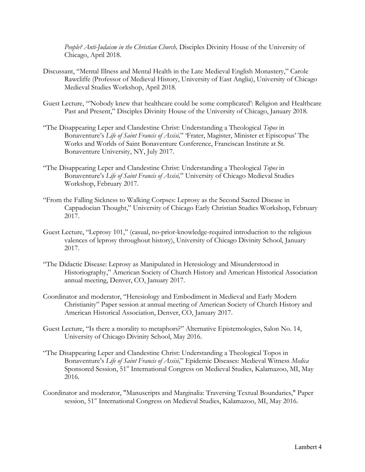*People? Anti-Judaism in the Christian Church,* Disciples Divinity House of the University of Chicago, April 2018.

- Discussant, "Mental Illness and Mental Health in the Late Medieval English Monastery," Carole Rawcliffe (Professor of Medieval History, University of East Anglia), University of Chicago Medieval Studies Workshop, April 2018.
- Guest Lecture, "'Nobody knew that healthcare could be some complicated': Religion and Healthcare Past and Present," Disciples Divinity House of the University of Chicago, January 2018.
- "The Disappearing Leper and Clandestine Christ: Understanding a Theological *Topos* in Bonaventure's *Life of Saint Francis of Assisi,*" 'Frater, Magister, Minister et Episcopus' The Works and Worlds of Saint Bonaventure Conference, Franciscan Institute at St. Bonaventure University, NY, July 2017.
- "The Disappearing Leper and Clandestine Christ: Understanding a Theological *Topos* in Bonaventure's *Life of Saint Francis of Assisi,*" University of Chicago Medieval Studies Workshop, February 2017.
- "From the Falling Sickness to Walking Corpses: Leprosy as the Second Sacred Disease in Cappadocian Thought," University of Chicago Early Christian Studies Workshop, February 2017.
- Guest Lecture, "Leprosy 101," (casual, no-prior-knowledge-required introduction to the religious valences of leprosy throughout history), University of Chicago Divinity School, January 2017.
- "The Didactic Disease: Leprosy as Manipulated in Heresiology and Misunderstood in Historiography," American Society of Church History and American Historical Association annual meeting, Denver, CO, January 2017.
- Coordinator and moderator, "Heresiology and Embodiment in Medieval and Early Modern Christianity" Paper session at annual meeting of American Society of Church History and American Historical Association, Denver, CO, January 2017.
- Guest Lecture, "Is there a morality to metaphors?" Alternative Epistemologies, Salon No. 14, University of Chicago Divinity School, May 2016.
- "The Disappearing Leper and Clandestine Christ: Understanding a Theological Topos in Bonaventure's *Life of Saint Francis of Assisi,*" Epidemic Diseases: Medieval Witness *Medica* Sponsored Session, 51<sup>st</sup> International Congress on Medieval Studies, Kalamazoo, MI, May 2016.
- Coordinator and moderator, "Manuscripts and Marginalia: Traversing Textual Boundaries," Paper session, 51<sup>st</sup> International Congress on Medieval Studies, Kalamazoo, MI, May 2016.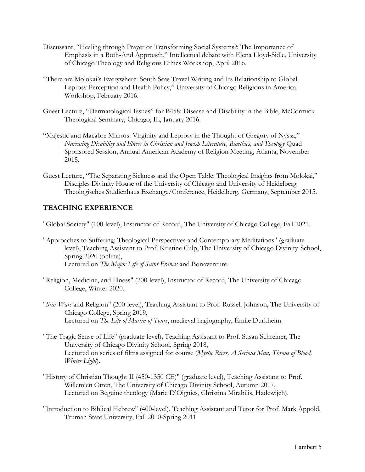- Discussant, "Healing through Prayer or Transforming Social Systems?: The Importance of Emphasis in a Both-And Approach," Intellectual debate with Elena Lloyd-Sidle, University of Chicago Theology and Religious Ethics Workshop, April 2016.
- "There are Molokai's Everywhere: South Seas Travel Writing and Its Relationship to Global Leprosy Perception and Health Policy," University of Chicago Religions in America Workshop, February 2016.
- Guest Lecture, "Dermatological Issues" for B458: Disease and Disability in the Bible, McCormick Theological Seminary, Chicago, IL, January 2016.
- "Majestic and Macabre Mirrors: Virginity and Leprosy in the Thought of Gregory of Nyssa," *Narrating Disability and Illness in Christian and Jewish Literature, Bioethics, and Theology* Quad Sponsored Session, Annual American Academy of Religion Meeting, Atlanta, November 2015.
- Guest Lecture, "The Separating Sickness and the Open Table: Theological Insights from Molokai," Disciples Divinity House of the University of Chicago and University of Heidelberg Theologisches Studienhaus Exchange/Conference, Heidelberg, Germany, September 2015.

## **TEACHING EXPERIENCE**

"Global Society" (100-level), Instructor of Record, The University of Chicago College, Fall 2021.

- "Approaches to Suffering: Theological Perspectives and Contemporary Meditations" (graduate level), Teaching Assistant to Prof. Kristine Culp, The University of Chicago Divinity School, Spring 2020 (online), Lectured on *The Major Life of Saint Francis* and Bonaventure*.*
- "Religion, Medicine, and Illness" (200-level), Instructor of Record, The University of Chicago College, Winter 2020.
- "*Star Wars* and Religion" (200-level), Teaching Assistant to Prof. Russell Johnson, The University of Chicago College, Spring 2019, Lectured on *The Life of Martin of Tours*, medieval hagiography, Émile Durkheim.
- "The Tragic Sense of Life" (graduate-level), Teaching Assistant to Prof. Susan Schreiner, The University of Chicago Divinity School, Spring 2018, Lectured on series of films assigned for course (*Mystic River, A Serious Man, Throne of Blood, Winter Light*).
- "History of Christian Thought II (450-1350 CE)" (graduate level), Teaching Assistant to Prof. Willemien Otten, The University of Chicago Divinity School, Autumn 2017, Lectured on Beguine theology (Marie D'Oignies, Christina Mirabilis, Hadewijch).
- "Introduction to Biblical Hebrew" (400-level), Teaching Assistant and Tutor for Prof. Mark Appold, Truman State University, Fall 2010-Spring 2011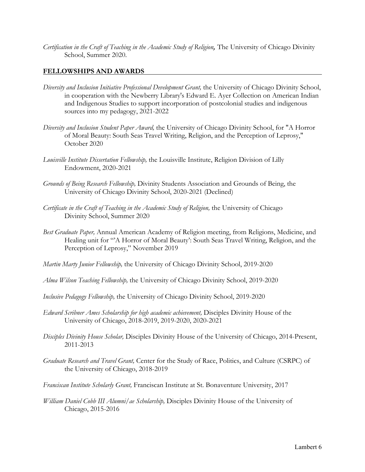*Certification in the Craft of Teaching in the Academic Study of Religion,* The University of Chicago Divinity School, Summer 2020.

### **FELLOWSHIPS AND AWARDS**

- *Diversity and Inclusion Initiative Professional Development Grant,* the University of Chicago Divinity School, in cooperation with the Newberry Library's Edward E. Ayer Collection on American Indian and Indigenous Studies to support incorporation of postcolonial studies and indigenous sources into my pedagogy, 2021-2022
- *Diversity and Inclusion Student Paper Award,* the University of Chicago Divinity School, for "A Horror of Moral Beauty: South Seas Travel Writing, Religion, and the Perception of Leprosy," October 2020
- *Louisville Institute Dissertation Fellowship,* the Louisville Institute, Religion Division of Lilly Endowment, 2020-2021
- *Grounds of Being Research Fellowship,* Divinity Students Association and Grounds of Being, the University of Chicago Divinity School, 2020-2021 (Declined)
- *Certificate in the Craft of Teaching in the Academic Study of Religion,* the University of Chicago Divinity School, Summer 2020
- *Best Graduate Paper,* Annual American Academy of Religion meeting, from Religions, Medicine, and Healing unit for "'A Horror of Moral Beauty': South Seas Travel Writing, Religion, and the Perception of Leprosy," November 2019
- *Martin Marty Junior Fellowship,* the University of Chicago Divinity School, 2019-2020
- *Alma Wilson Teaching Fellowship,* the University of Chicago Divinity School, 2019-2020
- *Inclusive Pedagogy Fellowship,* the University of Chicago Divinity School, 2019-2020
- *Edward Scribner Ames Scholarship for high academic achievement,* Disciples Divinity House of the University of Chicago, 2018-2019, 2019-2020, 2020-2021
- *Disciples Divinity House Scholar,* Disciples Divinity House of the University of Chicago, 2014-Present, 2011-2013
- *Graduate Research and Travel Grant,* Center for the Study of Race, Politics, and Culture (CSRPC) of the University of Chicago, 2018-2019
- *Franciscan Institute Scholarly Grant,* Franciscan Institute at St. Bonaventure University, 2017
- *William Daniel Cobb III Alumni/ae Scholarship,* Disciples Divinity House of the University of Chicago, 2015-2016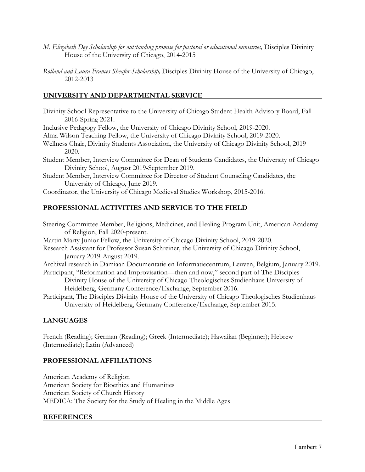- *M. Elizabeth Dey Scholarship for outstanding promise for pastoral or educational ministries,* Disciples Divinity House of the University of Chicago, 2014-2015
- *Rolland and Laura Frances Sheafor Scholarship,* Disciples Divinity House of the University of Chicago, 2012-2013

## **UNIVERSITY AND DEPARTMENTAL SERVICE**

Divinity School Representative to the University of Chicago Student Health Advisory Board, Fall 2016-Spring 2021.

Inclusive Pedagogy Fellow, the University of Chicago Divinity School, 2019-2020.

Alma Wilson Teaching Fellow, the University of Chicago Divinity School, 2019-2020.

- Wellness Chair, Divinity Students Association, the University of Chicago Divinity School, 2019 2020.
- Student Member, Interview Committee for Dean of Students Candidates, the University of Chicago Divinity School, August 2019-September 2019.
- Student Member, Interview Committee for Director of Student Counseling Candidates, the University of Chicago, June 2019.

Coordinator, the University of Chicago Medieval Studies Workshop, 2015-2016.

# **PROFESSIONAL ACTIVITIES AND SERVICE TO THE FIELD**

Steering Committee Member, Religions, Medicines, and Healing Program Unit, American Academy of Religion, Fall 2020-present.

Martin Marty Junior Fellow, the University of Chicago Divinity School, 2019-2020.

Research Assistant for Professor Susan Schreiner, the University of Chicago Divinity School, January 2019-August 2019.

Archival research in Damiaan Documentatie en Informatiecentrum, Leuven, Belgium, January 2019. Participant, "Reformation and Improvisation—then and now," second part of The Disciples

- Divinity House of the University of Chicago-Theologisches Studienhaus University of Heidelberg, Germany Conference/Exchange, September 2016.
- Participant, The Disciples Divinity House of the University of Chicago Theologisches Studienhaus University of Heidelberg, Germany Conference/Exchange, September 2015.

## **LANGUAGES**

French (Reading); German (Reading); Greek (Intermediate); Hawaiian (Beginner); Hebrew (Intermediate); Latin (Advanced)

## **PROFESSIONAL AFFILIATIONS**

American Academy of Religion American Society for Bioethics and Humanities American Society of Church History MEDICA: The Society for the Study of Healing in the Middle Ages

### **REFERENCES**